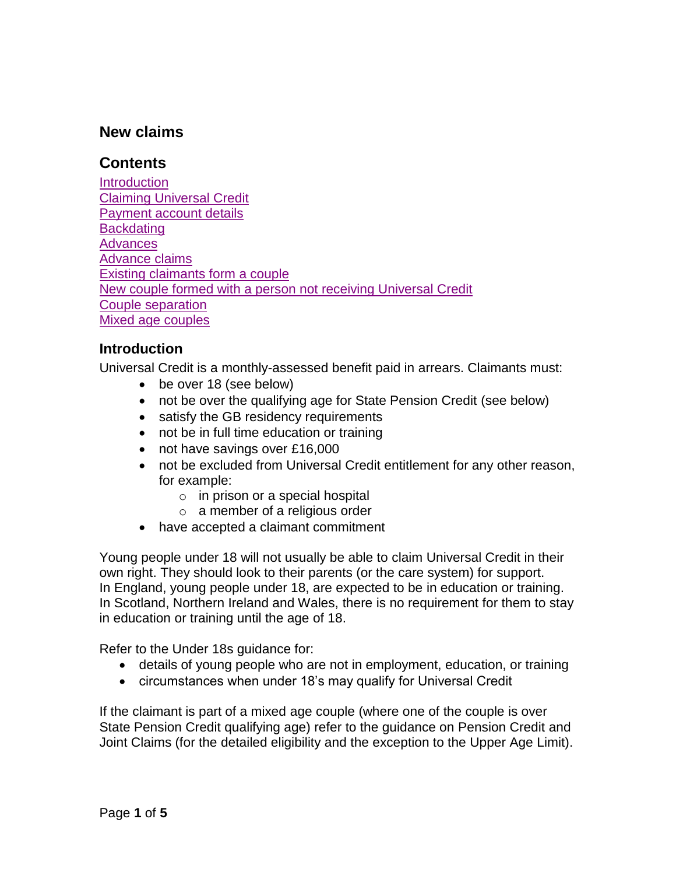# **New claims**

### <span id="page-0-1"></span>**Contents**

**[Introduction](#page-0-0)** Claiming [Universal Credit](#page-1-0) [Payment account details](#page-2-0) **[Backdating](#page-2-1)** [Advances](#page-2-2) [Advance claims](#page-3-0) [Existing claimants form a couple](#page-3-1) [New couple formed with a person not receiving Universal Credit](#page-3-2) [Couple separation](#page-3-3) [Mixed age couples](#page-4-0)

#### <span id="page-0-0"></span>**Introduction**

Universal Credit is a monthly-assessed benefit paid in arrears. Claimants must:

- be over 18 (see below)
- not be over the qualifying age for State Pension Credit (see below)
- satisfy the GB residency requirements
- not be in full time education or training
- not have savings over £16,000
- not be excluded from Universal Credit entitlement for any other reason, for example:
	- $\circ$  in prison or a special hospital
	- $\circ$  a member of a religious order
- have accepted a claimant commitment

Young people under 18 will not usually be able to claim Universal Credit in their own right. They should look to their parents (or the care system) for support. In England, young people under 18, are expected to be in education or training. In Scotland, Northern Ireland and Wales, there is no requirement for them to stay in education or training until the age of 18.

Refer to the Under 18s guidance for:

- details of young people who are not in employment, education, or training
- circumstances when under 18's may qualify for Universal Credit

If the claimant is part of a mixed age couple (where one of the couple is over State Pension Credit qualifying age) refer to the guidance on Pension Credit and Joint Claims (for the detailed eligibility and the exception to the Upper Age Limit).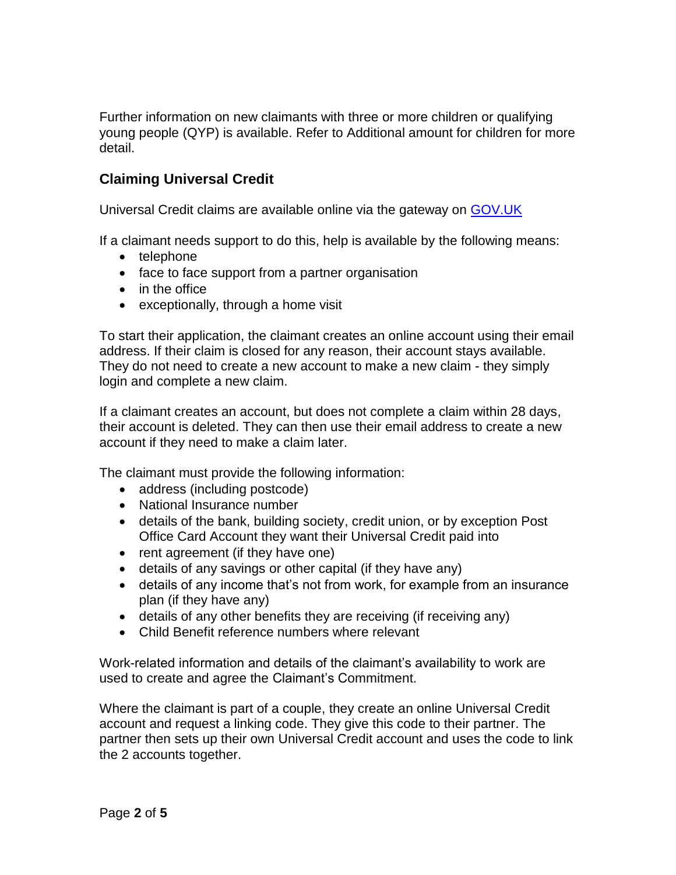Further information on new claimants with three or more children or qualifying young people (QYP) is available. Refer to Additional amount for children for more detail.

# <span id="page-1-0"></span>**Claiming Universal Credit**

Universal Credit claims are available online via the gateway on [GOV.UK](http://www.gov.uk/apply-universal-credit)

If a claimant needs support to do this, help is available by the following means:

- telephone
- face to face support from a partner organisation
- in the office
- $\bullet$  exceptionally, through a home visit

To start their application, the claimant creates an online account using their email address. If their claim is closed for any reason, their account stays available. They do not need to create a new account to make a new claim - they simply login and complete a new claim.

If a claimant creates an account, but does not complete a claim within 28 days, their account is deleted. They can then use their email address to create a new account if they need to make a claim later.

The claimant must provide the following information:

- address (including postcode)
- National Insurance number
- details of the bank, building society, credit union, or by exception Post Office Card Account they want their Universal Credit paid into
- rent agreement (if they have one)
- details of any savings or other capital (if they have any)
- details of any income that's not from work, for example from an insurance plan (if they have any)
- details of any other benefits they are receiving (if receiving any)
- Child Benefit reference numbers where relevant

Work-related information and details of the claimant's availability to work are used to create and agree the Claimant's Commitment.

Where the claimant is part of a couple, they create an online Universal Credit account and request a linking code. They give this code to their partner. The partner then sets up their own Universal Credit account and uses the code to link the 2 accounts together.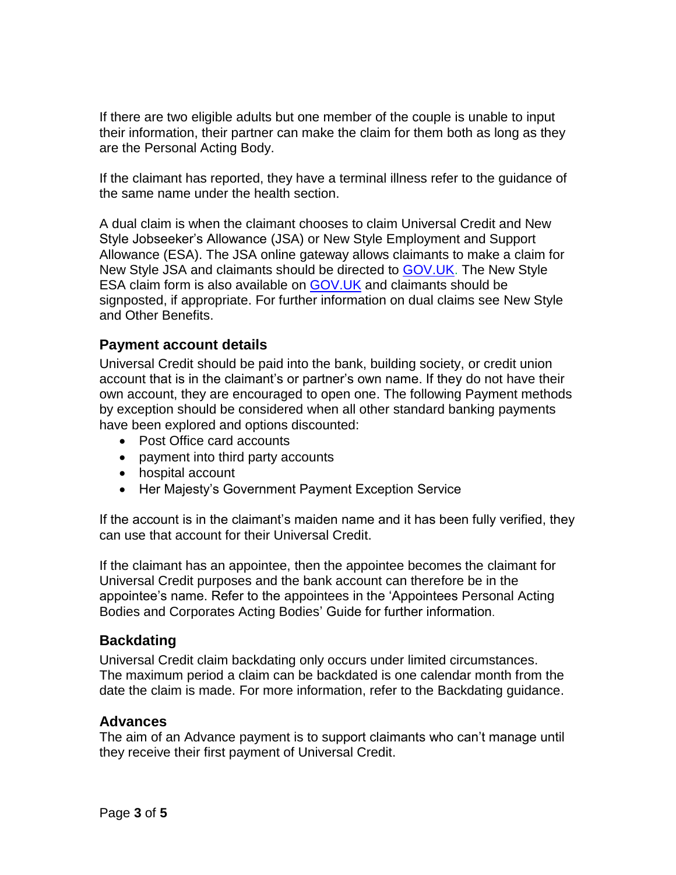If there are two eligible adults but one member of the couple is unable to input their information, their partner can make the claim for them both as long as they are the Personal Acting Body.

If the claimant has reported, they have a terminal illness refer to the guidance of the same name under the health section.

A dual claim is when the claimant chooses to claim Universal Credit and New Style Jobseeker's Allowance (JSA) or New Style Employment and Support Allowance (ESA). The JSA online gateway allows claimants to make a claim for New Style JSA and claimants should be directed to [GOV.UK.](https://www.gov.uk/guidance/new-style-jobseekers-allowance) The New Style ESA claim form is also available on [GOV.UK](https://www.gov.uk/government/publications/new-style-employment-and-support-allowance-esa-claim-form) and claimants should be signposted, if appropriate. For further information on dual claims see New Style and Other Benefits.

### <span id="page-2-0"></span>**Payment account details**

Universal Credit should be paid into the bank, building society, or credit union account that is in the claimant's or partner's own name. If they do not have their own account, they are encouraged to open one. The following Payment methods by exception should be considered when all other standard banking payments have been explored and options discounted:

- Post Office card accounts
- payment into third party accounts
- hospital account
- <span id="page-2-1"></span>• Her Majesty's Government Payment Exception Service

If the account is in the claimant's maiden name and it has been fully verified, they can use that account for their Universal Credit.

If the claimant has an appointee, then the appointee becomes the claimant for Universal Credit purposes and the bank account can therefore be in the appointee's name. Refer to the appointees in the 'Appointees Personal Acting Bodies and Corporates Acting Bodies' Guide for further information.

### **Backdating**

Universal Credit claim backdating only occurs under limited circumstances. The maximum period a claim can be backdated is one calendar month from the date the claim is made. For more information, refer to the Backdating guidance.

### <span id="page-2-2"></span>**Advances**

The aim of an [Advance](https://intranet.dwp.gov.uk/policy/advances) payment is to support claimants who can't manage until they receive their first payment of Universal Credit.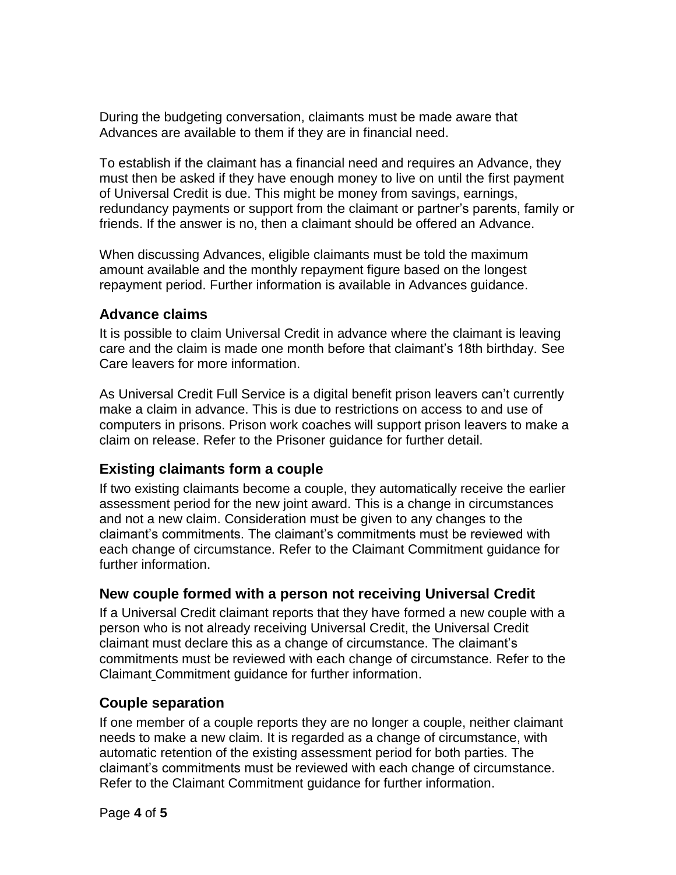During the budgeting conversation, claimants must be made aware that Advances are available to them if they are in financial need.

To establish if the claimant has a financial need and requires an Advance, they must then be asked if they have enough money to live on until the first payment of Universal Credit is due. This might be money from savings, earnings, redundancy payments or support from the claimant or partner's parents, family or friends. If the answer is no, then a claimant should be offered an Advance.

When discussing Advances, eligible claimants must be told the maximum amount available and the monthly repayment figure based on the longest repayment period. Further information is available in Advances guidance.

### <span id="page-3-0"></span>**Advance claims**

It is possible to claim Universal Credit in advance where the claimant is leaving care and the claim is made one month before that claimant's 18th birthday. See Care leavers for more information.

As Universal Credit Full Service is a digital benefit prison leavers can't currently make a claim in advance. This is due to restrictions on access to and use of computers in prisons. Prison work coaches will support prison leavers to make a claim on release. Refer to the Prisoner guidance for further detail.

# <span id="page-3-1"></span>**Existing claimants form a couple**

If two existing claimants become a couple, they automatically receive the earlier assessment period for the new joint award. This is a change in circumstances and not a new claim. Consideration must be given to any changes to the claimant's commitments. The claimant's commitments must be reviewed with each change of circumstance. Refer to the Claimant Commitment guidance for further information.

### <span id="page-3-2"></span>**New couple formed with a person not receiving Universal Credit**

If a Universal Credit claimant reports that they have formed a new couple with a person who is not already receiving Universal Credit, the Universal Credit claimant must declare this as a change of circumstance. The claimant's commitments must be reviewed with each change of circumstance. Refer to the Claimant Commitment guidance for further information.

### <span id="page-3-3"></span>**Couple separation**

If one member of a couple reports they are no longer a couple, neither claimant needs to make a new claim. It is regarded as a change of circumstance, with automatic retention of the existing assessment period for both parties. The claimant's commitments must be reviewed with each change of circumstance. Refer to the Claimant Commitment guidance for further information.